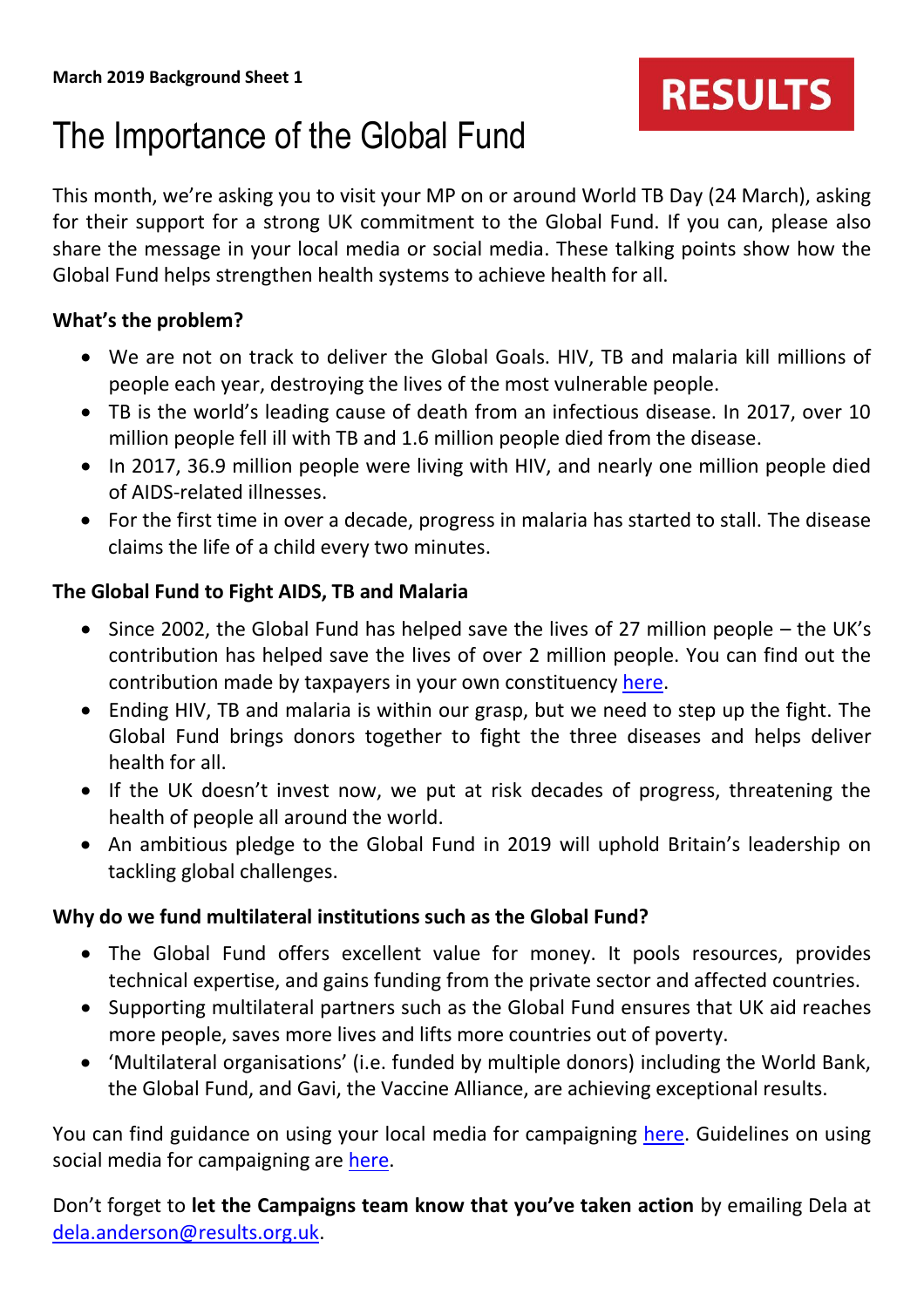# **RESULTS**

## The Importance of the Global Fund

This month, we're asking you to visit your MP on or around World TB Day (24 March), asking for their support for a strong UK commitment to the Global Fund. If you can, please also share the message in your local media or social media. These talking points show how the Global Fund helps strengthen health systems to achieve health for all.

#### **What's the problem?**

- We are not on track to deliver the Global Goals. HIV, TB and malaria kill millions of people each year, destroying the lives of the most vulnerable people.
- TB is the world's leading cause of death from an infectious disease. In 2017, over 10 million people fell ill with TB and 1.6 million people died from the disease.
- In 2017, 36.9 million people were living with HIV, and nearly one million people died of AIDS-related illnesses.
- For the first time in over a decade, progress in malaria has started to stall. The disease claims the life of a child every two minutes.

### **The Global Fund to Fight AIDS, TB and Malaria**

- Since 2002, the Global Fund has helped save the lives of 27 million people the UK's contribution has helped save the lives of over 2 million people. You can find out the contribution made by taxpayers in your own constituency [here.](https://stopaids.org.uk/lives-saved-through-the-global-fund/)
- Ending HIV, TB and malaria is within our grasp, but we need to step up the fight. The Global Fund brings donors together to fight the three diseases and helps deliver health for all.
- If the UK doesn't invest now, we put at risk decades of progress, threatening the health of people all around the world.
- An ambitious pledge to the Global Fund in 2019 will uphold Britain's leadership on tackling global challenges.

#### **Why do we fund multilateral institutions such as the Global Fund?**

- The Global Fund offers excellent value for money. It pools resources, provides technical expertise, and gains funding from the private sector and affected countries.
- Supporting multilateral partners such as the Global Fund ensures that UK aid reaches more people, saves more lives and lifts more countries out of poverty.
- 'Multilateral organisations' (i.e. funded by multiple donors) including the World Bank, the Global Fund, and Gavi, the Vaccine Alliance, are achieving exceptional results.

You can find guidance on using your local media for campaigning [here.](https://www.results.org.uk/guides/working-media-writing-letter-editor) Guidelines on using social media for campaigning are [here.](https://www.results.org.uk/guides/social-media-guide)

Don't forget to **let the Campaigns team know that you've taken action** by emailing Dela at [dela.anderson@results.org.uk.](mailto:dela.anderson@results.org.uk)